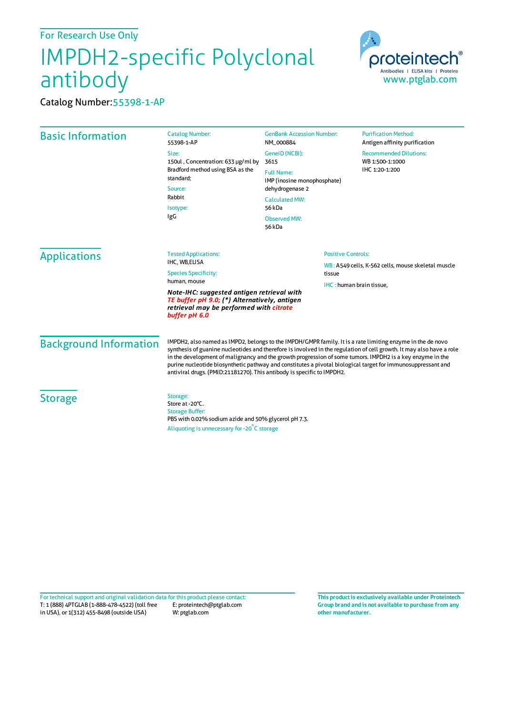## IMPDH2-specific Polyclonal antibody



Catalog Number:55398-1-AP

| <b>Basic Information</b>      | <b>Catalog Number:</b><br>55398-1-AP                                                                                                                                                                                                                                                                                                                                                                                                                                                                                                      | <b>GenBank Accession Number:</b><br>NM_000884    | <b>Purification Method:</b><br>Antigen affinity purification                             |  |
|-------------------------------|-------------------------------------------------------------------------------------------------------------------------------------------------------------------------------------------------------------------------------------------------------------------------------------------------------------------------------------------------------------------------------------------------------------------------------------------------------------------------------------------------------------------------------------------|--------------------------------------------------|------------------------------------------------------------------------------------------|--|
|                               | Size:<br>150ul, Concentration: 633 µg/ml by<br>Bradford method using BSA as the<br>standard;<br>Source:<br>Rabbit<br>Isotype:<br>IgG                                                                                                                                                                                                                                                                                                                                                                                                      | GenelD (NCBI):<br>3615                           | <b>Recommended Dilutions:</b><br>WB 1:500-1:1000                                         |  |
|                               |                                                                                                                                                                                                                                                                                                                                                                                                                                                                                                                                           | <b>Full Name:</b><br>IMP (inosine monophosphate) | IHC 1:20-1:200                                                                           |  |
|                               |                                                                                                                                                                                                                                                                                                                                                                                                                                                                                                                                           | dehydrogenase 2                                  |                                                                                          |  |
|                               |                                                                                                                                                                                                                                                                                                                                                                                                                                                                                                                                           | <b>Calculated MW:</b><br>56 kDa                  |                                                                                          |  |
|                               |                                                                                                                                                                                                                                                                                                                                                                                                                                                                                                                                           | <b>Observed MW:</b><br>56 kDa                    |                                                                                          |  |
| <b>Applications</b>           | <b>Tested Applications:</b>                                                                                                                                                                                                                                                                                                                                                                                                                                                                                                               |                                                  | <b>Positive Controls:</b>                                                                |  |
|                               | IHC, WB,ELISA<br><b>Species Specificity:</b><br>human, mouse                                                                                                                                                                                                                                                                                                                                                                                                                                                                              |                                                  | WB: A549 cells, K-562 cells, mouse skeletal muscle<br>tissue<br>IHC: human brain tissue, |  |
|                               |                                                                                                                                                                                                                                                                                                                                                                                                                                                                                                                                           |                                                  |                                                                                          |  |
|                               | Note-IHC: suggested antigen retrieval with<br>TE buffer pH 9.0; (*) Alternatively, antigen<br>retrieval may be performed with citrate<br>buffer pH 6.0                                                                                                                                                                                                                                                                                                                                                                                    |                                                  |                                                                                          |  |
| <b>Background Information</b> | IMPDH2, also named as IMPD2, belongs to the IMPDH/GMPR family. It is a rate limiting enzyme in the de novo<br>synthesis of guanine nucleotides and therefore is involved in the regulation of cell growth. It may also have a role<br>in the development of malignancy and the growth progression of some tumors. IMPDH2 is a key enzyme in the<br>purine nucleotide biosynthetic pathway and constitutes a pivotal biological target for immunosuppressant and<br>antiviral drugs. (PMID:21181270). This antibody is specific to IMPDH2. |                                                  |                                                                                          |  |
| <b>Storage</b>                | Storage:<br>Store at -20°C.<br><b>Storage Buffer:</b><br>PBS with 0.02% sodium azide and 50% glycerol pH 7.3.                                                                                                                                                                                                                                                                                                                                                                                                                             |                                                  |                                                                                          |  |
|                               | Aliquoting is unnecessary for -20°C storage                                                                                                                                                                                                                                                                                                                                                                                                                                                                                               |                                                  |                                                                                          |  |

T: 1 (888) 4PTGLAB (1-888-478-4522) (toll free in USA), or 1(312) 455-8498 (outside USA) E: proteintech@ptglab.com W: ptglab.com Fortechnical support and original validation data forthis product please contact: **This productis exclusively available under Proteintech**

**Group brand and is not available to purchase from any other manufacturer.**